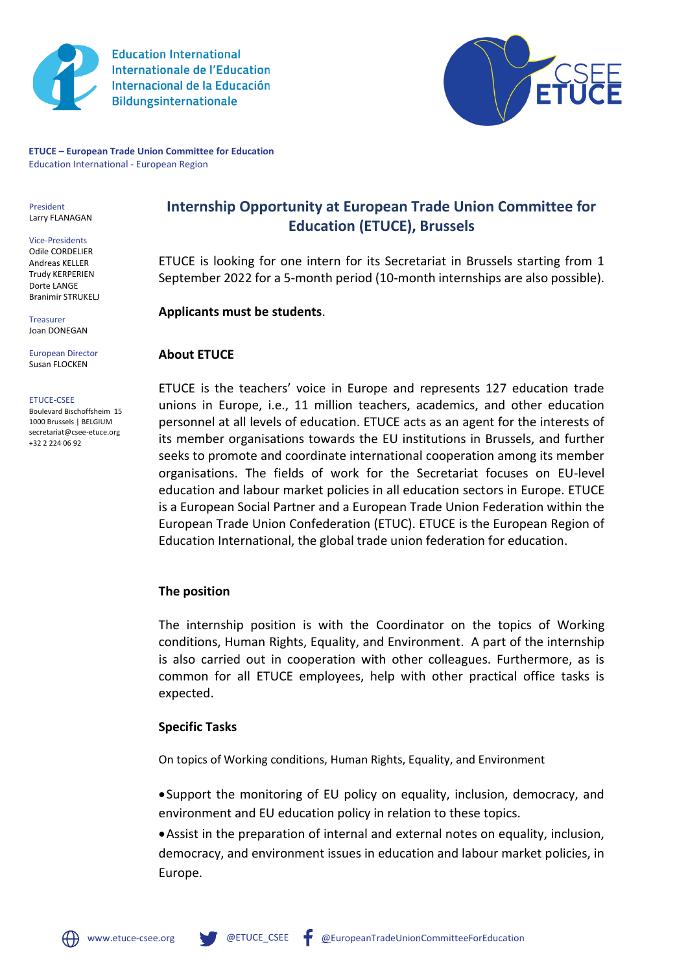

**Education International Internationale de l'Education** Internacional de la Educación **Bildungsinternationale** 



**ETUCE – European Trade Union Committee for Education** Education International - European Region

President Larry FLANAGAN

Vice-Presidents Odile CORDELIER Andreas KELLER Trudy KERPERIEN Dorte LANGE Branimir STRUKELJ

Treasurer Joan DONEGAN

#### European Director Susan FLOCKEN

#### ETUCE-CSEE

Boulevard Bischoffsheim 15 1000 Brussels | BELGIUM secretariat@csee-etuce.org +32 2 224 06 92

**Internship Opportunity at European Trade Union Committee for Education (ETUCE), Brussels**

ETUCE is looking for one intern for its Secretariat in Brussels starting from 1 September 2022 for a 5-month period (10-month internships are also possible).

**Applicants must be students**.

### **About ETUCE**

[ETUCE](https://www.csee-etuce.org/en/) is the teachers' voice in Europe and represents 127 education trade unions in Europe, i.e., 11 million teachers, academics, and other education personnel at all levels of education. ETUCE acts as an agent for the interests of its member organisations towards the EU institutions in Brussels, and further seeks to promote and coordinate international cooperation among its member organisations. The fields of work for the Secretariat focuses on EU-level education and labour market policies in all education sectors in Europe. ETUCE is a European Social Partner and a European Trade Union Federation within the European Trade Union Confederation (ETUC). ETUCE is the European Region of Education International, the global trade union federation for education.

## **The position**

The internship position is with the Coordinator on the topics of Working conditions, Human Rights, Equality, and Environment. A part of the internship is also carried out in cooperation with other colleagues. Furthermore, as is common for all ETUCE employees, help with other practical office tasks is expected.

### **Specific Tasks**

On topics of Working conditions, Human Rights, Equality, and Environment

•Support the monitoring of EU policy on equality, inclusion, democracy, and environment and EU education policy in relation to these topics.

•Assist in the preparation of internal and external notes on equality, inclusion, democracy, and environment issues in education and labour market policies, in Europe.